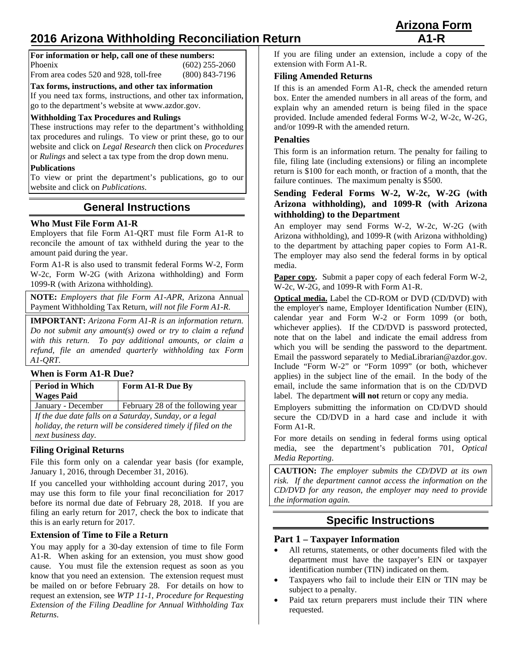# **2016 Arizona Withholding Reconciliation Return**

| <b>Arizona Form</b> |  |
|---------------------|--|
| $A1-R$              |  |

| For information or help, call one of these numbers: |                                        |                  |
|-----------------------------------------------------|----------------------------------------|------------------|
|                                                     | Phoenix                                | $(602)$ 255-2060 |
|                                                     | From area codes 520 and 928, toll-free | $(800)$ 843-7196 |

**Tax forms, instructions, and other tax information**

If you need tax forms, instructions, and other tax information, go to the department's website at [www.azdor.gov.](http://www.azdor.gov/)

### **Withholding Tax Procedures and Rulings**

These instructions may refer to the department's withholding tax procedures and rulings. To view or print these, go to our website and click on *Legal Research* then click on *Procedures* or *Rulings* and select a tax type from the drop down menu.

#### **Publications**

To view or print the department's publications, go to our website and click on *Publications*.

# **General Instructions**

# **Who Must File Form A1-R**

Employers that file Form A1-QRT must file Form A1-R to reconcile the amount of tax withheld during the year to the amount paid during the year.

Form A1-R is also used to transmit federal Forms W-2, Form W-2c, Form W-2G (with Arizona withholding) and Form 1099-R (with Arizona withholding).

**NOTE:** *Employers that file Form A1-APR,* Arizona Annual Payment Withholding Tax Return*, will not file Form A1-R.*

**IMPORTANT:** *Arizona Form A1-R is an information return. Do not submit any amount(s) owed or try to claim a refund with this return. To pay additional amounts, or claim a refund, file an amended quarterly withholding tax Form A1-QRT.*

#### **When is Form A1-R Due?**

| <b>Period in Which</b><br><b>Wages Paid</b>                                                                              | Form A1-R Due By                  |
|--------------------------------------------------------------------------------------------------------------------------|-----------------------------------|
| January - December                                                                                                       | February 28 of the following year |
| If the due date falls on a Saturday, Sunday, or a legal<br>holiday, the return will be considered timely if filed on the |                                   |

*next business day.*

# **Filing Original Returns**

File this form only on a calendar year basis (for example, January 1, 2016, through December 31, 2016).

If you cancelled your withholding account during 2017, you may use this form to file your final reconciliation for 2017 before its normal due date of February 28, 2018. If you are filing an early return for 2017, check the box to indicate that this is an early return for 2017.

# **Extension of Time to File a Return**

You may apply for a 30-day extension of time to file Form A1-R. When asking for an extension, you must show good cause. You must file the extension request as soon as you know that you need an extension. The extension request must be mailed on or before February 28. For details on how to request an extension, see *WTP 11-1, Procedure for Requesting Extension of the Filing Deadline for Annual Withholding Tax Returns*.

If you are filing under an extension, include a copy of the extension with Form A1-R.

#### **Filing Amended Returns**

If this is an amended Form A1-R, check the amended return box. Enter the amended numbers in all areas of the form, and explain why an amended return is being filed in the space provided. Include amended federal Forms W-2, W-2c, W-2G, and/or 1099-R with the amended return.

#### **Penalties**

This form is an information return. The penalty for failing to file, filing late (including extensions) or filing an incomplete return is \$100 for each month, or fraction of a month, that the failure continues. The maximum penalty is \$500.

# **Sending Federal Forms W-2, W-2c, W-2G (with Arizona withholding), and 1099-R (with Arizona withholding) to the Department**

An employer may send Forms W-2, W-2c, W-2G (with Arizona withholding), and 1099-R (with Arizona withholding) to the department by attaching paper copies to Form A1-R. The employer may also send the federal forms in by optical media.

Paper copy. Submit a paper copy of each federal Form W-2, W-2c, W-2G, and 1099-R with Form A1-R.

**Optical media.** Label the CD-ROM or DVD (CD/DVD) with the employer's name, Employer Identification Number (EIN), calendar year and Form W-2 or Form 1099 (or both, whichever applies). If the CD/DVD is password protected, note that on the label and indicate the email address from which you will be sending the password to the department. Email the password separately to MediaLibrarian@azdor.gov. Include "Form W-2" or "Form 1099" (or both, whichever applies) in the subject line of the email. In the body of the email, include the same information that is on the CD/DVD label. The department **will not** return or copy any media.

Employers submitting the information on CD/DVD should secure the CD/DVD in a hard case and include it with Form A1-R.

For more details on sending in federal forms using optical media, see the department's publication 701, *Optical Media Reporting*.

**CAUTION:** *The employer submits the CD/DVD at its own risk. If the department cannot access the information on the CD/DVD for any reason, the employer may need to provide the information again.* 

# **Specific Instructions**

# **Part 1 – Taxpayer Information**

- All returns, statements, or other documents filed with the department must have the taxpayer's EIN or taxpayer identification number (TIN) indicated on them.
- Taxpayers who fail to include their EIN or TIN may be subject to a penalty.
- Paid tax return preparers must include their TIN where requested.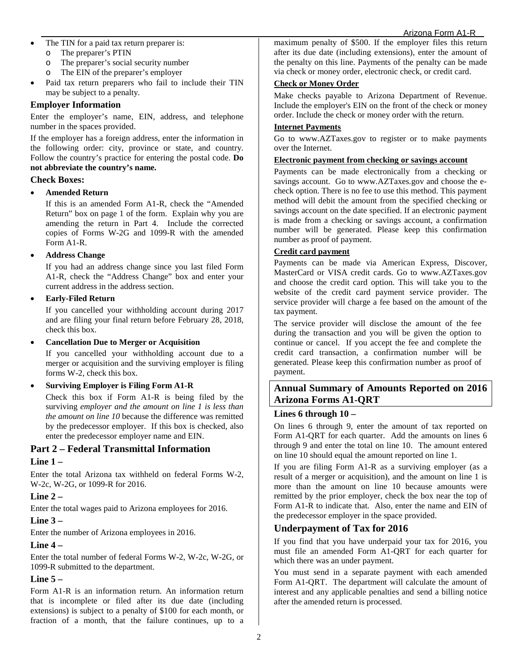#### Arizona Form A1-R

- The TIN for a paid tax return preparer is:
	- o The preparer's PTIN
	- o The preparer's social security number
	- o The EIN of the preparer's employer
- Paid tax return preparers who fail to include their TIN may be subject to a penalty.

# **Employer Information**

Enter the employer's name, EIN, address, and telephone number in the spaces provided.

If the employer has a foreign address, enter the information in the following order: city, province or state, and country. Follow the country's practice for entering the postal code. **Do not abbreviate the country's name.**

#### **Check Boxes:**

#### • **Amended Return**

If this is an amended Form A1-R, check the "Amended Return" box on page 1 of the form. Explain why you are amending the return in Part 4. Include the corrected copies of Forms W-2G and 1099-R with the amended Form A1-R.

#### • **Address Change**

If you had an address change since you last filed Form A1-R, check the "Address Change" box and enter your current address in the address section.

#### • **Early-Filed Return**

If you cancelled your withholding account during 2017 and are filing your final return before February 28, 2018, check this box.

#### • **Cancellation Due to Merger or Acquisition**

If you cancelled your withholding account due to a merger or acquisition and the surviving employer is filing forms W-2, check this box.

#### • **Surviving Employer is Filing Form A1-R**

Check this box if Form A1-R is being filed by the surviving *employer and the amount on line 1 is less than the amount on line 10* because the difference was remitted by the predecessor employer. If this box is checked, also enter the predecessor employer name and EIN.

# **Part 2 – Federal Transmittal Information**

# **Line 1 –**

Enter the total Arizona tax withheld on federal Forms W-2, W-2c, W-2G, or 1099-R for 2016.

# **Line 2 –**

Enter the total wages paid to Arizona employees for 2016.

# **Line 3 –**

Enter the number of Arizona employees in 2016.

# **Line 4 –**

Enter the total number of federal Forms W-2, W-2c, W-2G, or 1099-R submitted to the department.

# **Line 5 –**

Form A1-R is an information return. An information return that is incomplete or filed after its due date (including extensions) is subject to a penalty of \$100 for each month, or fraction of a month, that the failure continues, up to a maximum penalty of \$500. If the employer files this return after its due date (including extensions), enter the amount of the penalty on this line. Payments of the penalty can be made via check or money order, electronic check, or credit card.

# **Check or Money Order**

Make checks payable to Arizona Department of Revenue. Include the employer's EIN on the front of the check or money order. Include the check or money order with the return.

#### **Internet Payments**

Go to [www.AZTaxes.gov](http://www.aztaxes.gov/) to register or to make payments over the Internet.

### **Electronic payment from checking or savings account**

Payments can be made electronically from a checking or savings account. Go to [www.AZTaxes.gov](http://www.aztaxes.gov/) and choose the echeck option. There is no fee to use this method. This payment method will debit the amount from the specified checking or savings account on the date specified. If an electronic payment is made from a checking or savings account, a confirmation number will be generated. Please keep this confirmation number as proof of payment.

# **Credit card payment**

Payments can be made via American Express, Discover, MasterCard or VISA credit cards. Go to [www.AZTaxes.gov](http://www.aztaxes.gov/) and choose the credit card option. This will take you to the website of the credit card payment service provider. The service provider will charge a fee based on the amount of the tax payment.

The service provider will disclose the amount of the fee during the transaction and you will be given the option to continue or cancel. If you accept the fee and complete the credit card transaction, a confirmation number will be generated. Please keep this confirmation number as proof of payment.

# **Annual Summary of Amounts Reported on 2016 Arizona Forms A1-QRT**

# **Lines 6 through 10 –**

On lines 6 through 9, enter the amount of tax reported on Form A1-QRT for each quarter. Add the amounts on lines 6 through 9 and enter the total on line 10. The amount entered on line 10 should equal the amount reported on line 1.

If you are filing Form A1-R as a surviving employer (as a result of a merger or acquisition), and the amount on line 1 is more than the amount on line 10 because amounts were remitted by the prior employer, check the box near the top of Form A1-R to indicate that. Also, enter the name and EIN of the predecessor employer in the space provided.

# **Underpayment of Tax for 2016**

If you find that you have underpaid your tax for 2016, you must file an amended Form A1-QRT for each quarter for which there was an under payment.

You must send in a separate payment with each amended Form A1-QRT. The department will calculate the amount of interest and any applicable penalties and send a billing notice after the amended return is processed.